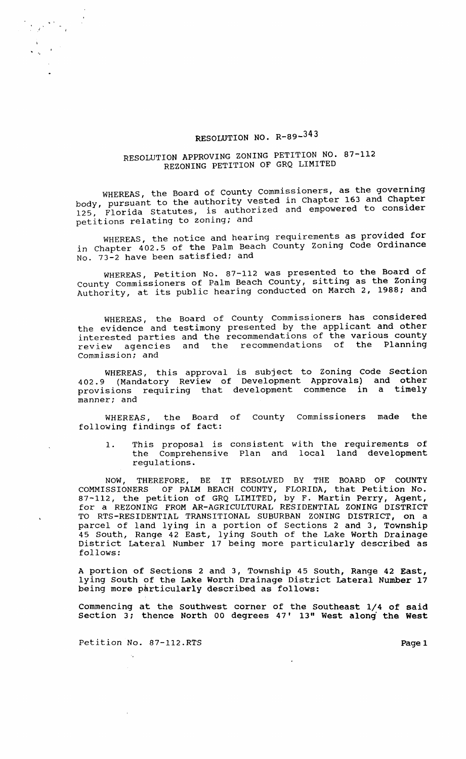## RESOLUTION NO. R-89-343

## RESOLUTION APPROVING ZONING PETITION NO. 87-112 REZONING PETITION OF GRQ LIMITED

WHEREAS, the Board of county commissioners, as the governing body, pursuant to the authority vested in Chapter 163 and Chapter 125, Florida Statutes, is authorized and empowered to consider petitions relating to zoning; and

WHEREAS, the notice and hearing requirements as provided for in Chapter 402.5 of the Palm Beach County Zoning Code Ordinance No. 73-2 have been satisfied; and

WHEREAS, Petition No. 87-112 was presented to the Board of County Commissioners of Palm Beach County, sitting as the Zoning Authority, at its public hearing conducted on March 2, 1988; and

WHEREAS, the Board of County Commissioners has considered the evidence and testimony presented by the applicant and other interested parties and the recommendations of the various county review agencies and the recommendations of the Planning commission; and

WHEREAS, this approval is subject to Zoning Code Section 402.9 (Mandatory Review of Development Approvals) and other provisions requiring that development commence in a timely manner; and

WHEREAS, the Board of County Commissioners made the following findings of fact:

1. This proposal is consistent with the requirements of the Comprehensive Plan and local land development regulations.

NOW, THEREFORE, BE IT RESOLVED BY THE BOARD OF COUNTY COMMISSIONERS OF PALM BEACH COUNTY, FLORIDA, that Petition No. 87-112, the petition of GRQ LIMITED, by F. Martin Perry, Agent, for a REZONING FROM AR-AGRICULTURAL RESIDENTIAL ZONING DISTRICT TO RTS-RESIDENTIAL TRANSITIONAL SUBURBAN ZONING DISTRICT, on a parcel of land lying in a portion of sections 2 and 3, Township 45 South, Range 42 East, lying South of the Lake Worth Drainage District Lateral Number 17 being more particularly described as follows:

A portion of sections 2 and 3, Township 45 South, Range 42 East, lying South of the Lake Worth Drainage District Lateral Number 17 being more particularly described as follows:

Commencing at the Southwest corner of the Southeast 1/4 of said Section 3; thence North 00 degrees 47' 13" West along the West

Petition No. 87-112.RTS Page 1

 $\label{eq:3.1} \frac{1}{\sqrt{2}}\int_{\mathbb{R}^3} \frac{e^{-\frac{1}{2}x^2}}{x^2} \frac{1}{\sqrt{2}} \frac{dx}{dx} = \frac{1}{2}$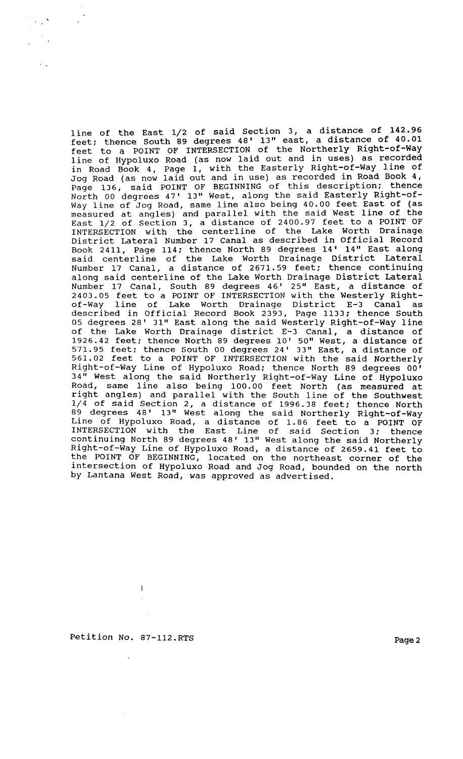line of the East 1/2 of said section 3, a distance of 142.96 feet; thence South 89 degrees 48' 13" east, a distance of 40.01 feet, thence bound of uses for the Northerly Right-of-Way line of Hypoluxo Road (as now laid out and in uses) as recorded in Road Book 4, Page 1, with the Easterly Right-of-Way line of Jog Road (as now laid out and in use) as recorded in Road Book 4, Page 136, said POINT OF BEGINNING of this description; thence North 00 degrees 47' 13" West, along the said Easterly R1ght-of-Way line of Jog Road, same line also being 40.00 feet East of (as may fine of bog hodd, bame fine also keens form and west line of the East 1/2 of section 3, a distance of 2400.97 feet to a POINT OF INTERSECTION with the centerline of the Lake Worth Drainage District Lateral Number 17 Canal as described in Official Record Book 2411, Page 114; thence North 89 degrees 14' 14" East along said centerline of the Lake Worth Drainage District Lateral Number 17 Canal, a distance of 2671.59 feet; thence continuing along said centerline of the Lake Worth Drainage District Lateral Number 17 Canal, South 89 degrees 46' 25" East, a distance of 2403.05 feet to a POINT OF INTERSECTION with the Westerly Rightof-Way line of Lake Worth Drainage District E-3 Canal as described in Official Record Book 2393, Page 1133; thence South 05 degrees 28' 31" East along the said Westerly Right-of-Way line of the Lake Worth Drainage district E-3 canal, a distance of 1926.42 feet; thence North 89 degrees 10' 50" West, a distance of 571.95 feet; thence South 00 degrees 24' 33" East, a distance of 561.02 feet to a POINT OF INTERSECTION with the said Northerly Right-of-Way Line of Hypoluxo Road; thence North 89 degrees 00' 34" West along the said Northerly Right-of-Way Line of Hypoluxo Road, same line also being 100.00 feet North (as measured at right angles) and parallel with the South line of the Southwest 1/4 of said Section 2, a distance of 1996.38 feet; thence North 89 degrees 48' 13" West along the said Northerly Right-of-Way Line of Hypoluxo Road, a distance of 1.86 feet to a POINT OF INTERSECTION with the East Line of said Section 3; thence continuing North 89 degrees 48' 13" West along the said Northerly Right-of-Way Line of Hypoluxo Road, a distance of 2659.41 feet to the POINT OF BEGINNING, located on the northeast corner of the intersection of Hypoluxo Road and Jog Road, bounded on the north by Lantana West Road, was approved as advertised.

Petition No. 87-112.RTS Petition No. 87-112.RTS

 $\mathbf{I}$